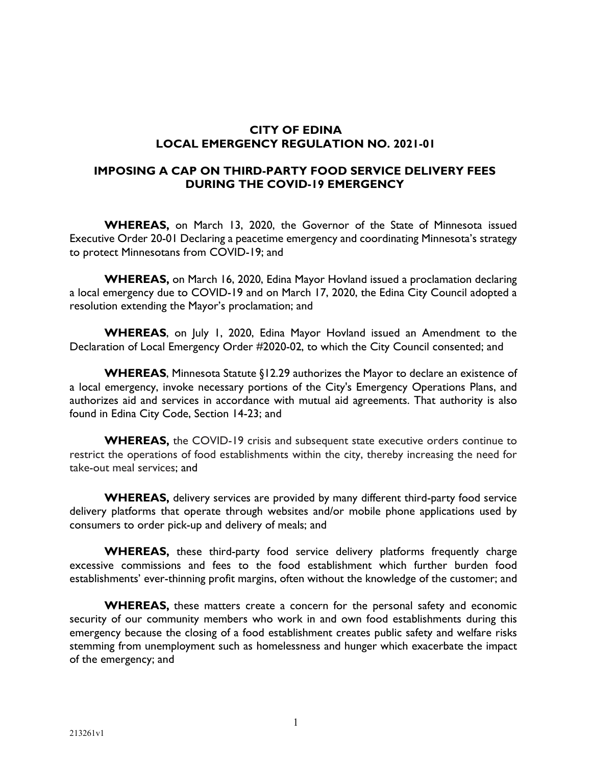# **CITY OF EDINA LOCAL EMERGENCY REGULATION NO. 2021-01**

#### **IMPOSING A CAP ON THIRD-PARTY FOOD SERVICE DELIVERY FEES DURING THE COVID-19 EMERGENCY**

**WHEREAS,** on March 13, 2020, the Governor of the State of Minnesota issued Executive Order 20-01 Declaring a peacetime emergency and coordinating Minnesota's strategy to protect Minnesotans from COVID-19; and

**WHEREAS,** on March 16, 2020, Edina Mayor Hovland issued a proclamation declaring a local emergency due to COVID-19 and on March 17, 2020, the Edina City Council adopted a resolution extending the Mayor's proclamation; and

**WHEREAS**, on July 1, 2020, Edina Mayor Hovland issued an Amendment to the Declaration of Local Emergency Order #2020-02, to which the City Council consented; and

**WHEREAS**, Minnesota Statute §12.29 authorizes the Mayor to declare an existence of a local emergency, invoke necessary portions of the City's Emergency Operations Plans, and authorizes aid and services in accordance with mutual aid agreements. That authority is also found in Edina City Code, Section 14-23; and

**WHEREAS,** the COVID-19 crisis and subsequent state executive orders continue to restrict the operations of food establishments within the city, thereby increasing the need for take-out meal services; and

**WHEREAS,** delivery services are provided by many different third-party food service delivery platforms that operate through websites and/or mobile phone applications used by consumers to order pick-up and delivery of meals; and

**WHEREAS,** these third-party food service delivery platforms frequently charge excessive commissions and fees to the food establishment which further burden food establishments' ever-thinning profit margins, often without the knowledge of the customer; and

**WHEREAS,** these matters create a concern for the personal safety and economic security of our community members who work in and own food establishments during this emergency because the closing of a food establishment creates public safety and welfare risks stemming from unemployment such as homelessness and hunger which exacerbate the impact of the emergency; and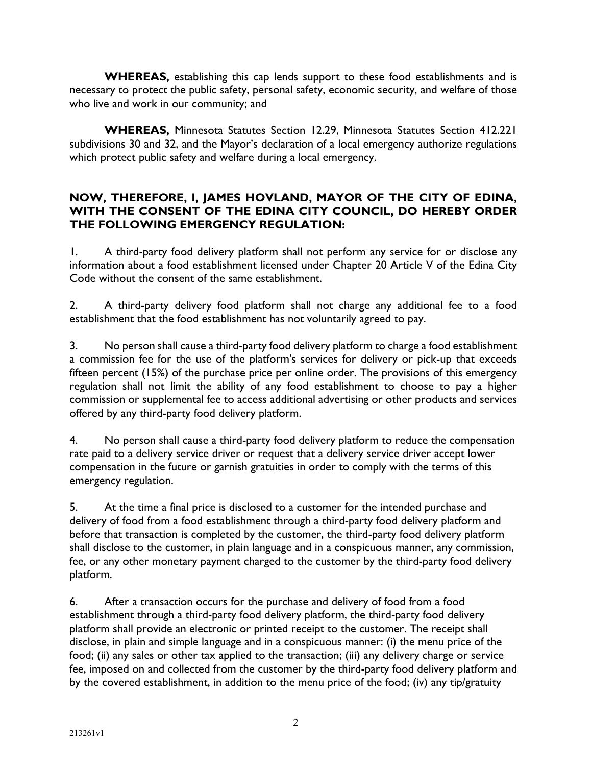**WHEREAS,** establishing this cap lends support to these food establishments and is necessary to protect the public safety, personal safety, economic security, and welfare of those who live and work in our community; and

**WHEREAS,** Minnesota Statutes Section 12.29, Minnesota Statutes Section 412.221 subdivisions 30 and 32, and the Mayor's declaration of a local emergency authorize regulations which protect public safety and welfare during a local emergency.

### **NOW, THEREFORE, I, JAMES HOVLAND, MAYOR OF THE CITY OF EDINA, WITH THE CONSENT OF THE EDINA CITY COUNCIL, DO HEREBY ORDER THE FOLLOWING EMERGENCY REGULATION:**

1. A third-party food delivery platform shall not perform any service for or disclose any information about a food establishment licensed under Chapter 20 Article V of the Edina City Code without the consent of the same establishment.

2. A third-party delivery food platform shall not charge any additional fee to a food establishment that the food establishment has not voluntarily agreed to pay.

3. No person shall cause a third-party food delivery platform to charge a food establishment a commission fee for the use of the platform's services for delivery or pick-up that exceeds fifteen percent (15%) of the purchase price per online order. The provisions of this emergency regulation shall not limit the ability of any food establishment to choose to pay a higher commission or supplemental fee to access additional advertising or other products and services offered by any third-party food delivery platform.

4. No person shall cause a third-party food delivery platform to reduce the compensation rate paid to a delivery service driver or request that a delivery service driver accept lower compensation in the future or garnish gratuities in order to comply with the terms of this emergency regulation.

5. At the time a final price is disclosed to a customer for the intended purchase and delivery of food from a food establishment through a third-party food delivery platform and before that transaction is completed by the customer, the third-party food delivery platform shall disclose to the customer, in plain language and in a conspicuous manner, any commission, fee, or any other monetary payment charged to the customer by the third-party food delivery platform.

6. After a transaction occurs for the purchase and delivery of food from a food establishment through a third-party food delivery platform, the third-party food delivery platform shall provide an electronic or printed receipt to the customer. The receipt shall disclose, in plain and simple language and in a conspicuous manner: (i) the menu price of the food; (ii) any sales or other tax applied to the transaction; (iii) any delivery charge or service fee, imposed on and collected from the customer by the third-party food delivery platform and by the covered establishment, in addition to the menu price of the food; (iv) any tip/gratuity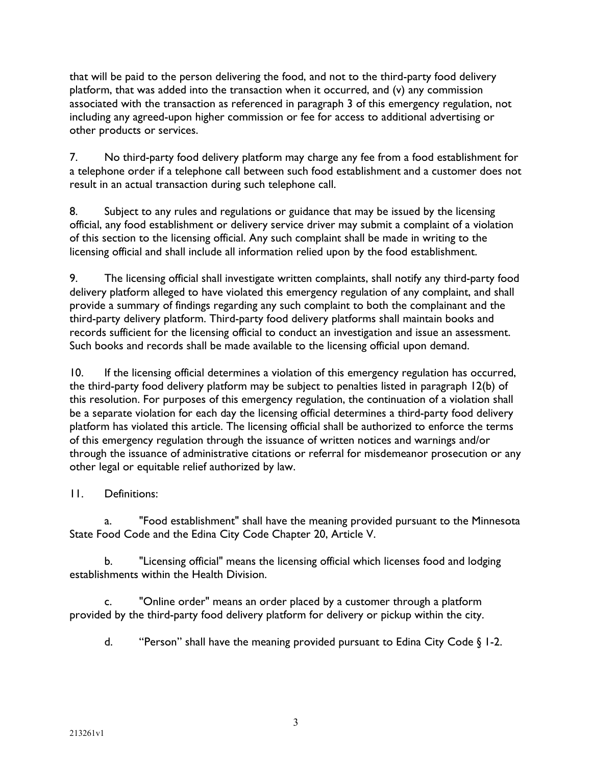that will be paid to the person delivering the food, and not to the third-party food delivery platform, that was added into the transaction when it occurred, and (v) any commission associated with the transaction as referenced in paragraph 3 of this emergency regulation, not including any agreed-upon higher commission or fee for access to additional advertising or other products or services.

7. No third-party food delivery platform may charge any fee from a food establishment for a telephone order if a telephone call between such food establishment and a customer does not result in an actual transaction during such telephone call.

8. Subject to any rules and regulations or guidance that may be issued by the licensing official, any food establishment or delivery service driver may submit a complaint of a violation of this section to the licensing official. Any such complaint shall be made in writing to the licensing official and shall include all information relied upon by the food establishment.

9. The licensing official shall investigate written complaints, shall notify any third-party food delivery platform alleged to have violated this emergency regulation of any complaint, and shall provide a summary of findings regarding any such complaint to both the complainant and the third-party delivery platform. Third-party food delivery platforms shall maintain books and records sufficient for the licensing official to conduct an investigation and issue an assessment. Such books and records shall be made available to the licensing official upon demand.

10. If the licensing official determines a violation of this emergency regulation has occurred, the third-party food delivery platform may be subject to penalties listed in paragraph 12(b) of this resolution. For purposes of this emergency regulation, the continuation of a violation shall be a separate violation for each day the licensing official determines a third-party food delivery platform has violated this article. The licensing official shall be authorized to enforce the terms of this emergency regulation through the issuance of written notices and warnings and/or through the issuance of administrative citations or referral for misdemeanor prosecution or any other legal or equitable relief authorized by law.

### 11. Definitions:

a. "Food establishment" shall have the meaning provided pursuant to the Minnesota State Food Code and the Edina City Code Chapter 20, Article V.

b. "Licensing official" means the licensing official which licenses food and lodging establishments within the Health Division.

c. "Online order" means an order placed by a customer through a platform provided by the third-party food delivery platform for delivery or pickup within the city.

d. "Person" shall have the meaning provided pursuant to Edina City Code § 1-2.